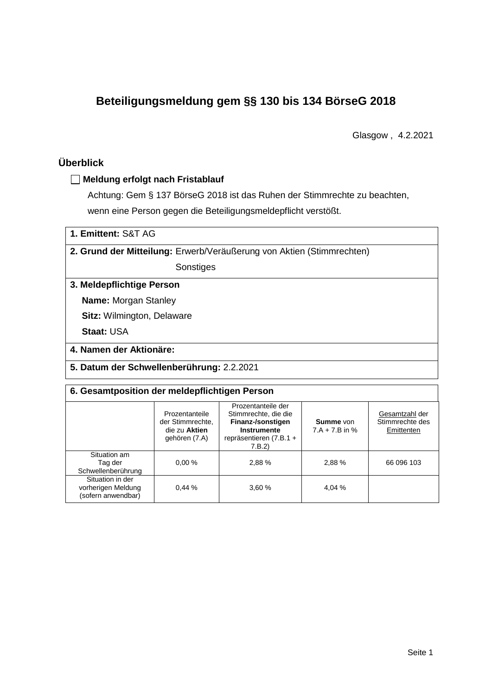# **Beteiligungsmeldung gem §§ 130 bis 134 BörseG 2018**

Glasgow , 4.2.2021

# **Überblick**

### **Meldung erfolgt nach Fristablauf**

Achtung: Gem § 137 BörseG 2018 ist das Ruhen der Stimmrechte zu beachten, wenn eine Person gegen die Beteiligungsmeldepflicht verstößt.

| 1. Emittent: S&T AG |  |
|---------------------|--|
|---------------------|--|

**2. Grund der Mitteilung:** Erwerb/Veräußerung von Aktien (Stimmrechten)

Sonstiges

### **3. Meldepflichtige Person**

**Name:** Morgan Stanley

**Sitz:** Wilmington, Delaware

**Staat:** USA

**4. Namen der Aktionäre:**

**5. Datum der Schwellenberührung:** 2.2.2021

### **6. Gesamtposition der meldepflichtigen Person**

|                                                              | Prozentanteile<br>der Stimmrechte.<br>die zu Aktien<br>gehören (7.A) | Prozentanteile der<br>Stimmrechte, die die<br>Finanz-/sonstigen<br>Instrumente<br>repräsentieren (7.B.1 +<br>7.B.2) | <b>Summe</b> von<br>$7.A + 7.B$ in % | Gesamtzahl der<br>Stimmrechte des<br>Emittenten |
|--------------------------------------------------------------|----------------------------------------------------------------------|---------------------------------------------------------------------------------------------------------------------|--------------------------------------|-------------------------------------------------|
| Situation am<br>Tag der<br>Schwellenberührung                | 0.00%                                                                | 2,88 %                                                                                                              | 2,88%                                | 66 096 103                                      |
| Situation in der<br>vorherigen Meldung<br>(sofern anwendbar) | 0.44%                                                                | 3,60 %                                                                                                              | 4,04 %                               |                                                 |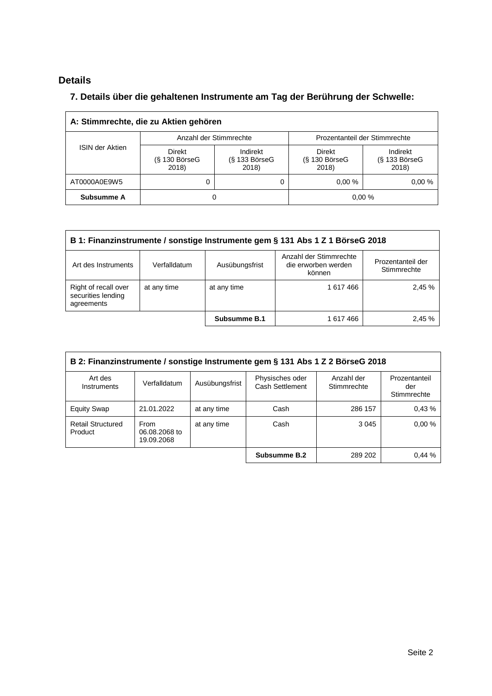# **Details**

 $\overline{\Gamma}$ 

# **7. Details über die gehaltenen Instrumente am Tag der Berührung der Schwelle:**

| A: Stimmrechte, die zu Aktien gehören |                                           |                                      |                                       |                                      |  |  |
|---------------------------------------|-------------------------------------------|--------------------------------------|---------------------------------------|--------------------------------------|--|--|
| <b>ISIN der Aktien</b>                | Anzahl der Stimmrechte                    |                                      | Prozentanteil der Stimmrechte         |                                      |  |  |
|                                       | <b>Direkt</b><br>$(S$ 130 BörseG<br>2018) | Indirekt<br>$(S$ 133 BörseG<br>2018) | Direkt<br>$(S$ 130 Börse $G$<br>2018) | Indirekt<br>$(S$ 133 BörseG<br>2018) |  |  |
| AT0000A0E9W5                          | 0                                         |                                      | 0.00%                                 | 0.00%                                |  |  |
| Subsumme A                            | O                                         |                                      |                                       | 0,00%                                |  |  |

| B 1: Finanzinstrumente / sonstige Instrumente gem § 131 Abs 1 Z 1 BörseG 2018                                                                        |  |              |           |        |  |
|------------------------------------------------------------------------------------------------------------------------------------------------------|--|--------------|-----------|--------|--|
| Anzahl der Stimmrechte<br>Prozentanteil der<br>die erworben werden<br>Art des Instruments<br>Verfalldatum<br>Ausübungsfrist<br>Stimmrechte<br>können |  |              |           |        |  |
| Right of recall over<br>at any time<br>at any time<br>securities lending<br>agreements                                                               |  |              | 1 617 466 | 2,45 % |  |
|                                                                                                                                                      |  | Subsumme B.1 | 1 617 466 | 2.45 % |  |

| B 2: Finanzinstrumente / sonstige Instrumente gem § 131 Abs 1 Z 2 BörseG 2018 |                                     |                |                                    |                           |                                     |  |
|-------------------------------------------------------------------------------|-------------------------------------|----------------|------------------------------------|---------------------------|-------------------------------------|--|
| Art des<br>Instruments                                                        | Verfalldatum                        | Ausübungsfrist | Physisches oder<br>Cash Settlement | Anzahl der<br>Stimmrechte | Prozentanteil<br>der<br>Stimmrechte |  |
| <b>Equity Swap</b>                                                            | 21.01.2022                          | at any time    | Cash                               | 286 157                   | 0.43%                               |  |
| <b>Retail Structured</b><br>Product                                           | From<br>06.08.2068 to<br>19.09.2068 | at any time    | Cash                               | 3 0 4 5                   | 0.00%                               |  |
|                                                                               |                                     |                | Subsumme B.2                       | 289 202                   | 0.44%                               |  |

 $\overline{\phantom{a}}$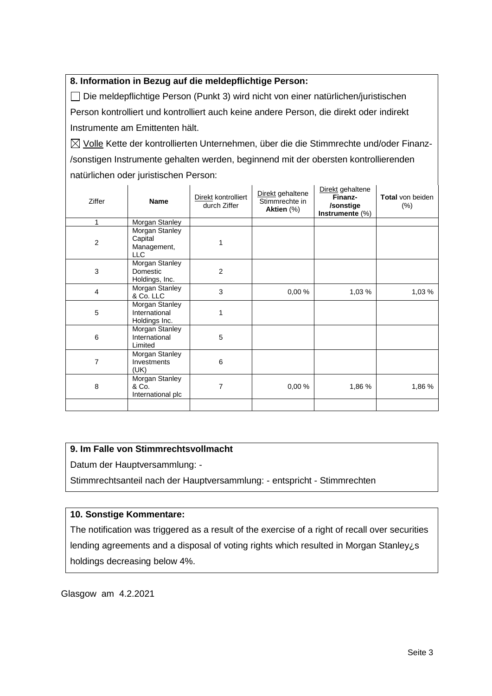# **8. Information in Bezug auf die meldepflichtige Person:**

Die meldepflichtige Person (Punkt 3) wird nicht von einer natürlichen/juristischen Person kontrolliert und kontrolliert auch keine andere Person, die direkt oder indirekt Instrumente am Emittenten hält.

 $\boxtimes$  Volle Kette der kontrollierten Unternehmen, über die die Stimmrechte und/oder Finanz-/sonstigen Instrumente gehalten werden, beginnend mit der obersten kontrollierenden natürlichen oder juristischen Person:

| <b>Ziffer</b>  | <b>Name</b>                                            | Direkt kontrolliert<br>durch Ziffer | Direkt gehaltene<br>Stimmrechte in<br>Aktien (%) | Direkt gehaltene<br>Finanz-<br>/sonstige<br>Instrumente (%) | <b>Total</b> von beiden<br>$(\%)$ |
|----------------|--------------------------------------------------------|-------------------------------------|--------------------------------------------------|-------------------------------------------------------------|-----------------------------------|
| 1              | Morgan Stanley                                         |                                     |                                                  |                                                             |                                   |
| $\overline{2}$ | Morgan Stanley<br>Capital<br>Management,<br><b>LLC</b> |                                     |                                                  |                                                             |                                   |
| 3              | Morgan Stanley<br>Domestic<br>Holdings, Inc.           | 2                                   |                                                  |                                                             |                                   |
| $\overline{4}$ | Morgan Stanley<br>& Co. LLC                            | 3                                   | 0,00%                                            | 1,03 %                                                      | 1,03 %                            |
| 5              | Morgan Stanley<br>International<br>Holdings Inc.       | 1                                   |                                                  |                                                             |                                   |
| 6              | Morgan Stanley<br>International<br>Limited             | 5                                   |                                                  |                                                             |                                   |
| 7              | Morgan Stanley<br>Investments<br>(UK)                  | 6                                   |                                                  |                                                             |                                   |
| 8              | Morgan Stanley<br>& Co.<br>International plc           | 7                                   | 0,00%                                            | 1,86 %                                                      | 1,86 %                            |
|                |                                                        |                                     |                                                  |                                                             |                                   |

# **9. Im Falle von Stimmrechtsvollmacht**

Datum der Hauptversammlung: -

Stimmrechtsanteil nach der Hauptversammlung: - entspricht - Stimmrechten

# **10. Sonstige Kommentare:**

The notification was triggered as a result of the exercise of a right of recall over securities lending agreements and a disposal of voting rights which resulted in Morgan Stanley¿s holdings decreasing below 4%.

Glasgow am 4.2.2021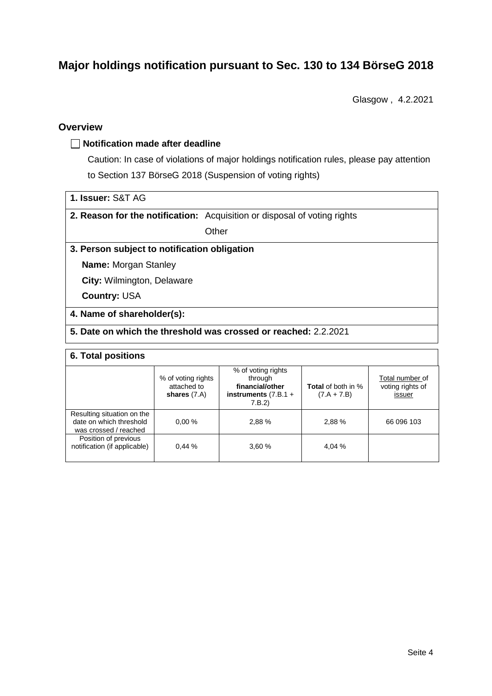# **Major holdings notification pursuant to Sec. 130 to 134 BörseG 2018**

Glasgow , 4.2.2021

### **Overview**

#### **Notification made after deadline**

Caution: In case of violations of major holdings notification rules, please pay attention to Section 137 BörseG 2018 (Suspension of voting rights)

| 1. Issuer: S&T AG |  |
|-------------------|--|
|-------------------|--|

**2. Reason for the notification:** Acquisition or disposal of voting rights

**Other** 

# **3. Person subject to notification obligation**

**Name:** Morgan Stanley

**City:** Wilmington, Delaware

**Country:** USA

### **4. Name of shareholder(s):**

# **5. Date on which the threshold was crossed or reached:** 2.2.2021

#### **6. Total positions**

|                                                                                | % of voting rights<br>attached to<br>shares $(7.A)$ | % of voting rights<br>through<br>financial/other<br>instruments $(7.B.1 +$<br>7.B.2 | <b>Total</b> of both in %<br>$(7.A + 7.B)$ | Total number of<br>voting rights of<br>issuer |
|--------------------------------------------------------------------------------|-----------------------------------------------------|-------------------------------------------------------------------------------------|--------------------------------------------|-----------------------------------------------|
| Resulting situation on the<br>date on which threshold<br>was crossed / reached | 0.00%                                               | 2.88%                                                                               | 2.88%                                      | 66 096 103                                    |
| Position of previous<br>notification (if applicable)                           | 0.44%                                               | 3.60 %                                                                              | 4.04 %                                     |                                               |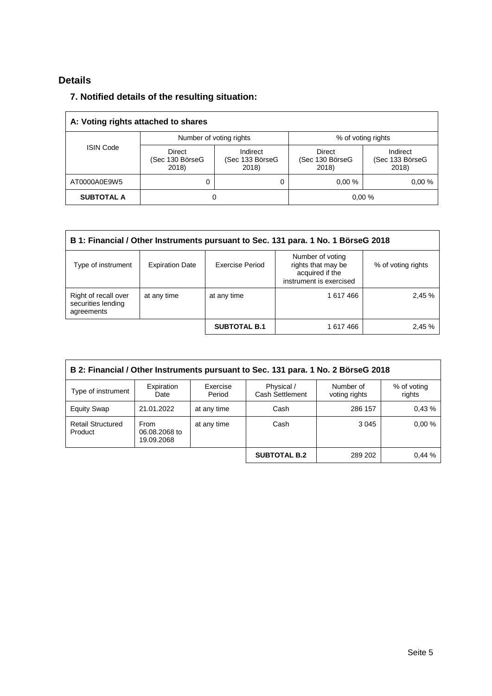# **Details**

# **7. Notified details of the resulting situation:**

| A: Voting rights attached to shares |                                    |                                      |                                    |                                      |  |
|-------------------------------------|------------------------------------|--------------------------------------|------------------------------------|--------------------------------------|--|
|                                     | Number of voting rights            |                                      | % of voting rights                 |                                      |  |
| <b>ISIN Code</b>                    | Direct<br>(Sec 130 BörseG<br>2018) | Indirect<br>(Sec 133 BörseG<br>2018) | Direct<br>(Sec 130 BörseG<br>2018) | Indirect<br>(Sec 133 BörseG<br>2018) |  |
| AT0000A0E9W5                        | 0                                  | 0                                    | 0.00%                              | 0.00%                                |  |
| <b>SUBTOTAL A</b>                   | 0                                  |                                      |                                    | 0,00%                                |  |

| B 1: Financial / Other Instruments pursuant to Sec. 131 para. 1 No. 1 BörseG 2018                                                                                                    |             |                     |           |        |  |
|--------------------------------------------------------------------------------------------------------------------------------------------------------------------------------------|-------------|---------------------|-----------|--------|--|
| Number of voting<br>rights that may be<br><b>Exercise Period</b><br>Type of instrument<br><b>Expiration Date</b><br>% of voting rights<br>acquired if the<br>instrument is exercised |             |                     |           |        |  |
| Right of recall over<br>securities lending<br>agreements                                                                                                                             | at any time | at any time         | 1 617 466 | 2,45 % |  |
|                                                                                                                                                                                      |             | <b>SUBTOTAL B.1</b> | 1 617 466 | 2,45 % |  |

| B 2: Financial / Other Instruments pursuant to Sec. 131 para. 1 No. 2 BörseG 2018 |                                            |                    |                               |                            |                       |  |
|-----------------------------------------------------------------------------------|--------------------------------------------|--------------------|-------------------------------|----------------------------|-----------------------|--|
| Type of instrument                                                                | Expiration<br>Date                         | Exercise<br>Period | Physical /<br>Cash Settlement | Number of<br>voting rights | % of voting<br>rights |  |
| <b>Equity Swap</b>                                                                | 21.01.2022                                 | at any time        | Cash                          | 286 157                    | 0.43%                 |  |
| <b>Retail Structured</b><br>Product                                               | <b>From</b><br>06.08.2068 to<br>19.09.2068 | at any time        | Cash                          | 3 0 4 5                    | 0.00%                 |  |
|                                                                                   |                                            |                    | <b>SUBTOTAL B.2</b>           | 289 202                    | 0.44%                 |  |